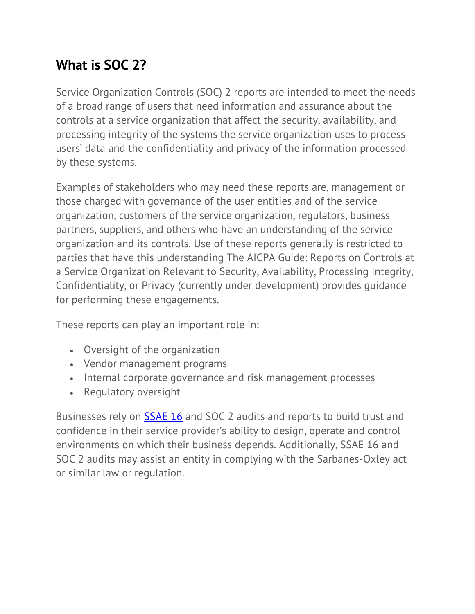## **What is SOC 2?**

Service Organization Controls (SOC) 2 reports are intended to meet the needs of a broad range of users that need information and assurance about the controls at a service organization that affect the security, availability, and processing integrity of the systems the service organization uses to process users' data and the confidentiality and privacy of the information processed by these systems.

Examples of stakeholders who may need these reports are, management or those charged with governance of the user entities and of the service organization, customers of the service organization, regulators, business partners, suppliers, and others who have an understanding of the service organization and its controls. Use of these reports generally is restricted to parties that have this understanding The AICPA Guide: Reports on Controls at a Service Organization Relevant to Security, Availability, Processing Integrity, Confidentiality, or Privacy (currently under development) provides guidance for performing these engagements.

These reports can play an important role in:

- Oversight of the organization
- Vendor management programs
- Internal corporate governance and risk management processes
- Regulatory oversight

Businesses rely on SSAE 16 and SOC 2 audits and reports to build trust and confidence in their service provider's ability to design, operate and control environments on which their business depends. Additionally, SSAE 16 and SOC 2 audits may assist an entity in complying with the Sarbanes-Oxley act or similar law or regulation.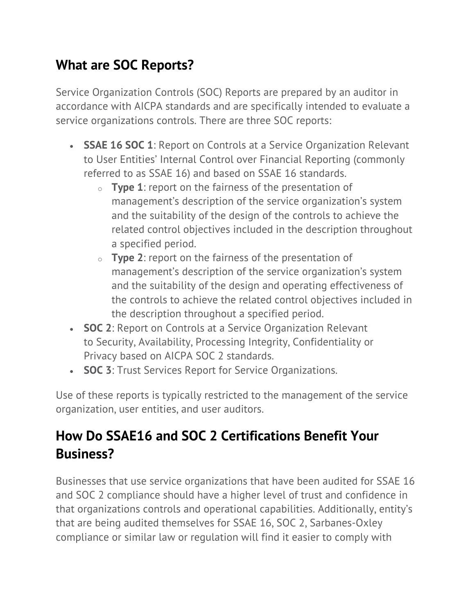## **What are SOC Reports?**

Service Organization Controls (SOC) Reports are prepared by an auditor in accordance with AICPA standards and are specifically intended to evaluate a service organizations controls. There are three SOC reports:

- **SSAE 16 SOC 1**: Report on Controls at a Service Organization Relevant to User Entities' Internal Control over Financial Reporting (commonly referred to as SSAE 16) and based on SSAE 16 standards.
	- o **Type 1**: report on the fairness of the presentation of management's description of the service organization's system and the suitability of the design of the controls to achieve the related control objectives included in the description throughout a specified period.
	- o **Type 2**: report on the fairness of the presentation of management's description of the service organization's system and the suitability of the design and operating effectiveness of the controls to achieve the related control objectives included in the description throughout a specified period.
- **SOC 2**: Report on Controls at a Service Organization Relevant to Security, Availability, Processing Integrity, Confidentiality or Privacy based on AICPA SOC 2 standards.
- **SOC 3**: Trust Services Report for Service Organizations.

Use of these reports is typically restricted to the management of the service organization, user entities, and user auditors.

## **How Do SSAE16 and SOC 2 Certifications Benefit Your Business?**

Businesses that use service organizations that have been audited for SSAE 16 and SOC 2 compliance should have a higher level of trust and confidence in that organizations controls and operational capabilities. Additionally, entity's that are being audited themselves for SSAE 16, SOC 2, Sarbanes-Oxley compliance or similar law or regulation will find it easier to comply with